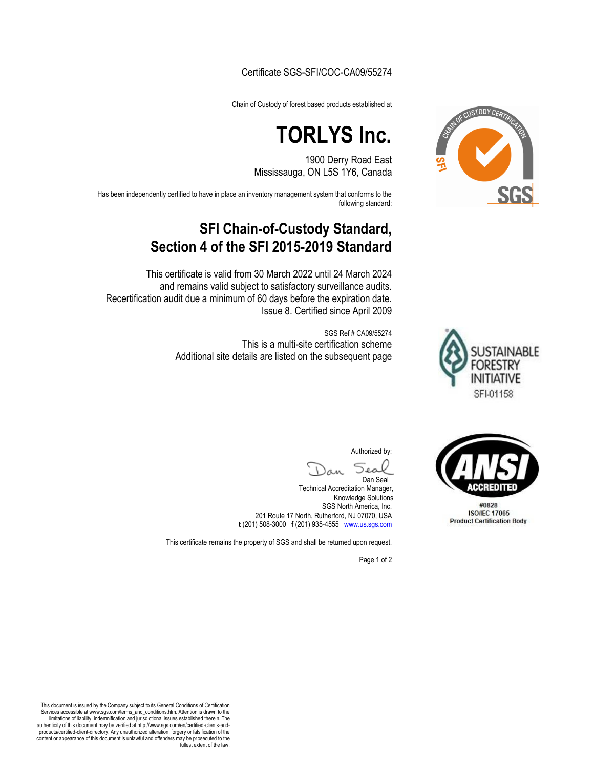#### Certificate SGS-SFI/COC-CA09/55274

Chain of Custody of forest based products established at

# **TORLYS Inc.**

1900 Derry Road East Mississauga, ON L5S 1Y6, Canada

Has been independently certified to have in place an inventory management system that conforms to the following standard:

## **SFI Chain-of-Custody Standard, Section 4 of the SFI 2015-2019 Standard**

This certificate is valid from 30 March 2022 until 24 March 2024 and remains valid subject to satisfactory surveillance audits. Recertification audit due a minimum of 60 days before the expiration date. Issue 8. Certified since April 2009

> SGS Ref # CA09/55274 This is a multi-site certification scheme Additional site details are listed on the subsequent page



CUSTODY CERTI

**CCREDITED** 

#0828 **ISO/IEC 17065 Product Certification Body** 

Authorized by:

Sea

Dan Seal Technical Accreditation Manager, Knowledge Solutions SGS North America, Inc. 201 Route 17 North, Rutherford, NJ 07070, USA **t** (201) 508-3000 **f** (201) 935-4555 www.us.sgs.com

This certificate remains the property of SGS and shall be returned upon request.

Page 1 of 2

This document is issued by the Company subject to its General Conditions of Certification Services accessible at www.sgs.com/terms\_and\_conditions.htm. Attention is drawn to the limitations of liability, indemnification and jurisdictional issues established therein. The authenticity of this document may be verified at http://www.sgs.com/en/certified-clients-andproducts/certified-client-directory. Any unauthorized alteration, forgery or falsification of the content or appearance of this document is unlawful and offenders may be prosecuted to the fullest extent of the law.